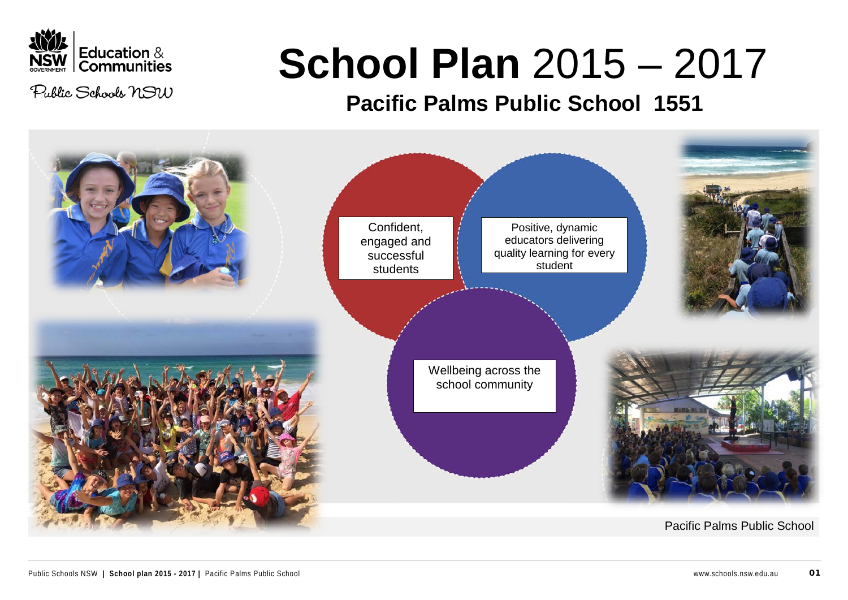

Public Schools NSW

# **School Plan** 2015 – 2017

# **Pacific Palms Public School 1551**

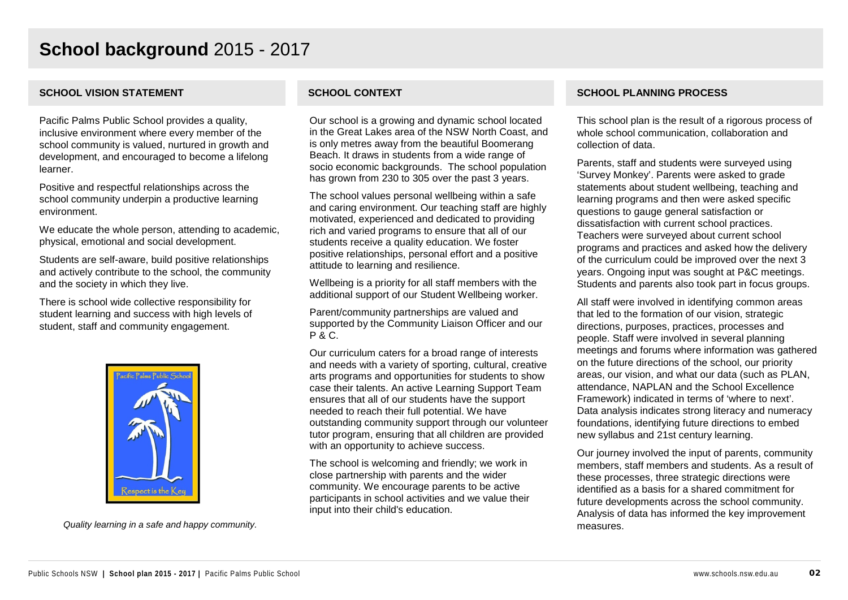Pacific Palms Public School provides a quality, inclusive environment where every member of the school community is valued, nurtured in growth and development, and encouraged to become a lifelong learner.

Positive and respectful relationships across the school community underpin a productive learning environment.

We educate the whole person, attending to academic, physical, emotional and social development.

Students are self-aware, build positive relationships and actively contribute to the school, the community and the society in which they live.

There is school wide collective responsibility for student learning and success with high levels of student, staff and community engagement.



*Quality learning in a safe and happy community.*

Our school is a growing and dynamic school located in the Great Lakes area of the NSW North Coast, and is only metres away from the beautiful Boomerang Beach. It draws in students from a wide range of socio economic backgrounds. The school population has grown from 230 to 305 over the past 3 years.

The school values personal wellbeing within a safe and caring environment. Our teaching staff are highly motivated, experienced and dedicated to providing rich and varied programs to ensure that all of our students receive a quality education. We foster positive relationships, personal effort and a positive attitude to learning and resilience.

Wellbeing is a priority for all staff members with the additional support of our Student Wellbeing worker.

Parent/community partnerships are valued and supported by the Community Liaison Officer and our P & C.

Our curriculum caters for a broad range of interests and needs with a variety of sporting, cultural, creative arts programs and opportunities for students to show case their talents. An active Learning Support Team ensures that all of our students have the support needed to reach their full potential. We have outstanding community support through our volunteer tutor program, ensuring that all children are provided with an opportunity to achieve success.

The school is welcoming and friendly; we work in close partnership with parents and the wider community. We encourage parents to be active participants in school activities and we value their input into their child's education.

### **SCHOOL VISION STATEMENT SCHOOL CONTEXT SCHOOL PLANNING PROCESS**

This school plan is the result of a rigorous process of whole school communication, collaboration and collection of data.

Parents, staff and students were surveyed using 'Survey Monkey'. Parents were asked to grade statements about student wellbeing, teaching and learning programs and then were asked specific questions to gauge general satisfaction or dissatisfaction with current school practices. Teachers were surveyed about current school programs and practices and asked how the delivery of the curriculum could be improved over the next 3 years. Ongoing input was sought at P&C meetings. Students and parents also took part in focus groups.

All staff were involved in identifying common areas that led to the formation of our vision, strategic directions, purposes, practices, processes and people. Staff were involved in several planning meetings and forums where information was gathered on the future directions of the school, our priority areas, our vision, and what our data (such as PLAN, attendance, NAPLAN and the School Excellence Framework) indicated in terms of 'where to next'. Data analysis indicates strong literacy and numeracy foundations, identifying future directions to embed new syllabus and 21st century learning.

Our journey involved the input of parents, community members, staff members and students. As a result of these processes, three strategic directions were identified as a basis for a shared commitment for future developments across the school community. Analysis of data has informed the key improvement measures.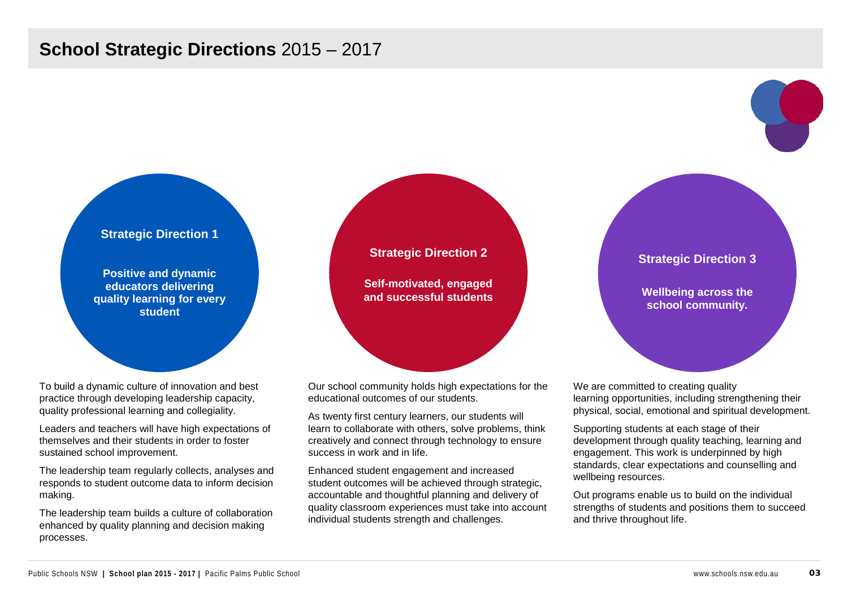# **School Strategic Directions** 2015 – 2017

### **Strategic Direction 1**

**Positive and dynamic educators delivering quality learning for every student**

To build a dynamic culture of innovation and best practice through developing leadership capacity, quality professional learning and collegiality.

Leaders and teachers will have high expectations of themselves and their students in order to foster sustained school improvement.

The leadership team regularly collects, analyses and responds to student outcome data to inform decision making.

The leadership team builds a culture of collaboration enhanced by quality planning and decision making processes.



**Self-motivated, engaged and successful students**

Our school community holds high expectations for the educational outcomes of our students.

As twenty first century learners, our students will learn to collaborate with others, solve problems, think creatively and connect through technology to ensure success in work and in life.

Enhanced student engagement and increased student outcomes will be achieved through strategic, accountable and thoughtful planning and delivery of quality classroom experiences must take into account individual students strength and challenges.

**Strategic Direction 3**

**Wellbeing across the school community.**

We are committed to creating quality learning opportunities, including strengthening their physical, social, emotional and spiritual development.

Supporting students at each stage of their development through quality teaching, learning and engagement. This work is underpinned by high standards, clear expectations and counselling and wellbeing resources.

Out programs enable us to build on the individual strengths of students and positions them to succeed and thrive throughout life.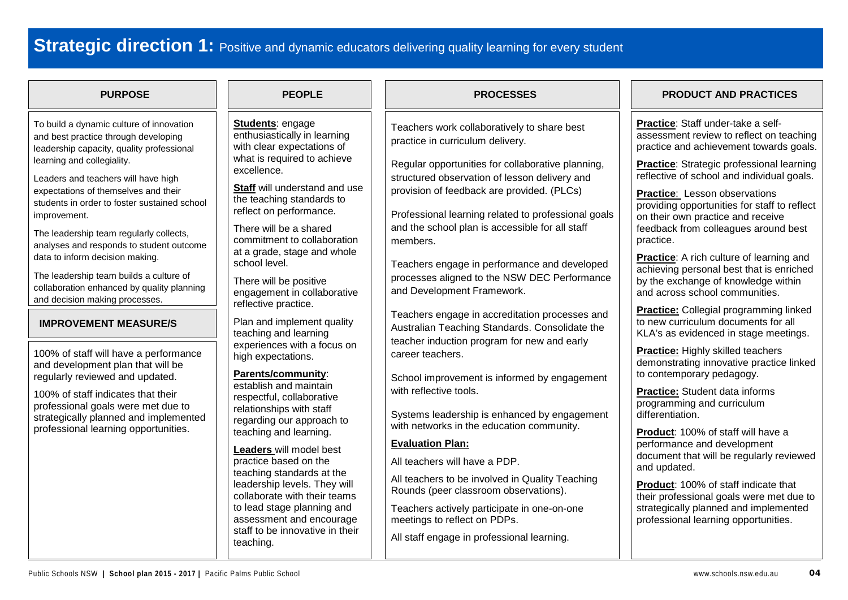# **Strategic direction 1:** Positive and dynamic educators delivering quality learning for every student

| <b>PURPOSE</b>                                                                                                                                                                                                                                                                                                                                                                                                                                                                                                                                                                                                                                                                                                                                                                                                                                                                | <b>PEOPLE</b>                                                                                                                                                                                                                                                                                                                                                                                                                                                                                                                                                                                                                                                                                                                                                                                                                                                                                                        | <b>PROCESSES</b>                                                                                                                                                                                                                                                                                                                                                                                                                                                                                                                                                                                                                                                                                                                                                                                                                                                                                                                                                                                                                                                             | <b>PRODUCT AND PRACTICES</b>                                                                                                                                                                                                                                                                                                                                                                                                                                                                                                                                                                                                                                                                                                                                                                                                                                                                                                                                                                                                                                                                                                                                                                                            |
|-------------------------------------------------------------------------------------------------------------------------------------------------------------------------------------------------------------------------------------------------------------------------------------------------------------------------------------------------------------------------------------------------------------------------------------------------------------------------------------------------------------------------------------------------------------------------------------------------------------------------------------------------------------------------------------------------------------------------------------------------------------------------------------------------------------------------------------------------------------------------------|----------------------------------------------------------------------------------------------------------------------------------------------------------------------------------------------------------------------------------------------------------------------------------------------------------------------------------------------------------------------------------------------------------------------------------------------------------------------------------------------------------------------------------------------------------------------------------------------------------------------------------------------------------------------------------------------------------------------------------------------------------------------------------------------------------------------------------------------------------------------------------------------------------------------|------------------------------------------------------------------------------------------------------------------------------------------------------------------------------------------------------------------------------------------------------------------------------------------------------------------------------------------------------------------------------------------------------------------------------------------------------------------------------------------------------------------------------------------------------------------------------------------------------------------------------------------------------------------------------------------------------------------------------------------------------------------------------------------------------------------------------------------------------------------------------------------------------------------------------------------------------------------------------------------------------------------------------------------------------------------------------|-------------------------------------------------------------------------------------------------------------------------------------------------------------------------------------------------------------------------------------------------------------------------------------------------------------------------------------------------------------------------------------------------------------------------------------------------------------------------------------------------------------------------------------------------------------------------------------------------------------------------------------------------------------------------------------------------------------------------------------------------------------------------------------------------------------------------------------------------------------------------------------------------------------------------------------------------------------------------------------------------------------------------------------------------------------------------------------------------------------------------------------------------------------------------------------------------------------------------|
| To build a dynamic culture of innovation<br>and best practice through developing<br>leadership capacity, quality professional<br>learning and collegiality.<br>Leaders and teachers will have high<br>expectations of themselves and their<br>students in order to foster sustained school<br>improvement.<br>The leadership team regularly collects,<br>analyses and responds to student outcome<br>data to inform decision making.<br>The leadership team builds a culture of<br>collaboration enhanced by quality planning<br>and decision making processes.<br><b>IMPROVEMENT MEASURE/S</b><br>100% of staff will have a performance<br>and development plan that will be<br>regularly reviewed and updated.<br>100% of staff indicates that their<br>professional goals were met due to<br>strategically planned and implemented<br>professional learning opportunities. | <b>Students: engage</b><br>enthusiastically in learning<br>with clear expectations of<br>what is required to achieve<br>excellence.<br><b>Staff</b> will understand and use<br>the teaching standards to<br>reflect on performance.<br>There will be a shared<br>commitment to collaboration<br>at a grade, stage and whole<br>school level.<br>There will be positive<br>engagement in collaborative<br>reflective practice.<br>Plan and implement quality<br>teaching and learning<br>experiences with a focus on<br>high expectations.<br>Parents/community:<br>establish and maintain<br>respectful, collaborative<br>relationships with staff<br>regarding our approach to<br>teaching and learning.<br>Leaders will model best<br>practice based on the<br>teaching standards at the<br>leadership levels. They will<br>collaborate with their teams<br>to lead stage planning and<br>assessment and encourage | Teachers work collaboratively to share best<br>practice in curriculum delivery.<br>Regular opportunities for collaborative planning,<br>structured observation of lesson delivery and<br>provision of feedback are provided. (PLCs)<br>Professional learning related to professional goals<br>and the school plan is accessible for all staff<br>members.<br>Teachers engage in performance and developed<br>processes aligned to the NSW DEC Performance<br>and Development Framework.<br>Teachers engage in accreditation processes and<br>Australian Teaching Standards. Consolidate the<br>teacher induction program for new and early<br>career teachers.<br>School improvement is informed by engagement<br>with reflective tools.<br>Systems leadership is enhanced by engagement<br>with networks in the education community.<br><b>Evaluation Plan:</b><br>All teachers will have a PDP.<br>All teachers to be involved in Quality Teaching<br>Rounds (peer classroom observations).<br>Teachers actively participate in one-on-one<br>meetings to reflect on PDPs. | Practice: Staff under-take a self-<br>assessment review to reflect on teaching<br>practice and achievement towards goals.<br><b>Practice:</b> Strategic professional learning<br>reflective of school and individual goals.<br>Practice: Lesson observations<br>providing opportunities for staff to reflect<br>on their own practice and receive<br>feedback from colleagues around best<br>practice.<br>Practice: A rich culture of learning and<br>achieving personal best that is enriched<br>by the exchange of knowledge within<br>and across school communities.<br><b>Practice:</b> Collegial programming linked<br>to new curriculum documents for all<br>KLA's as evidenced in stage meetings.<br><b>Practice:</b> Highly skilled teachers<br>demonstrating innovative practice linked<br>to contemporary pedagogy.<br>Practice: Student data informs<br>programming and curriculum<br>differentiation.<br>Product: 100% of staff will have a<br>performance and development<br>document that will be regularly reviewed<br>and updated.<br>Product: 100% of staff indicate that<br>their professional goals were met due to<br>strategically planned and implemented<br>professional learning opportunities. |
|                                                                                                                                                                                                                                                                                                                                                                                                                                                                                                                                                                                                                                                                                                                                                                                                                                                                               | staff to be innovative in their<br>teaching.                                                                                                                                                                                                                                                                                                                                                                                                                                                                                                                                                                                                                                                                                                                                                                                                                                                                         | All staff engage in professional learning.                                                                                                                                                                                                                                                                                                                                                                                                                                                                                                                                                                                                                                                                                                                                                                                                                                                                                                                                                                                                                                   |                                                                                                                                                                                                                                                                                                                                                                                                                                                                                                                                                                                                                                                                                                                                                                                                                                                                                                                                                                                                                                                                                                                                                                                                                         |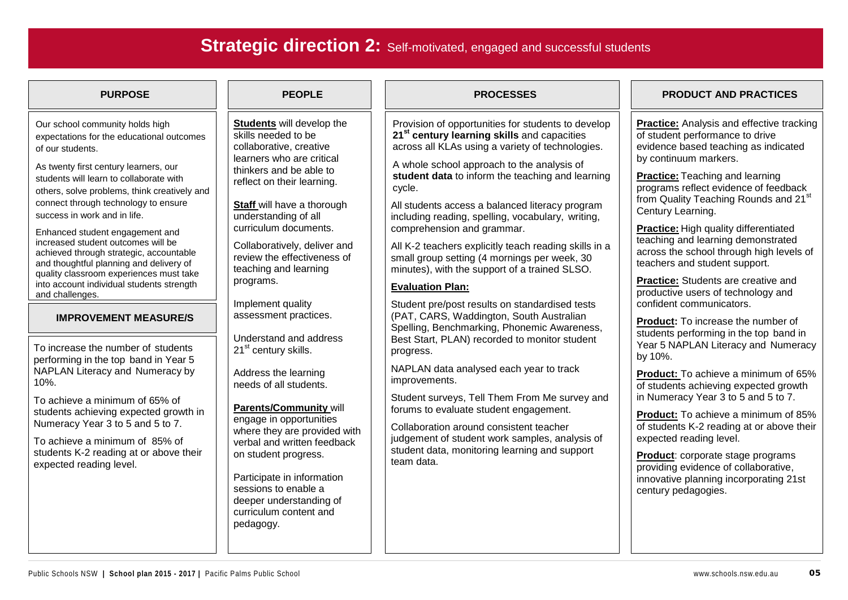# **Strategic direction 2:** Self-motivated, engaged and successful students

Our school community holds high expectations for the educational outcomes of our students.

As twenty first century learners, our students will learn to collaborate with others, solve problems, think creatively and connect through technology to ensure success in work and in life.

Enhanced student engagement and increased student outcomes will be achieved through strategic, accountable and thoughtful planning and delivery of quality classroom experiences must take into account individual students strength and challenges.

### **IMPROVEMENT MEASURE/S**

To increase the number of students performing in the top band in Year 5 NAPLAN Literacy and Numeracy by 10%.

To achieve a minimum of 65% of students achieving expected growth in Numeracy Year 3 to 5 and 5 to 7.

To achieve a minimum of 85% of students K-2 reading at or above their expected reading level.

**Students** will develop the skills needed to be collaborative, creative learners who are critical thinkers and be able to reflect on their learning.

**Staff** will have a thorough understanding of all curriculum documents.

Collaboratively, deliver and review the effectiveness of teaching and learning programs.

Implement quality assessment practices.

Understand and address 21<sup>st</sup> century skills.

Address the learning needs of all students.

### **Parents/Community** will engage in opportunities where they are provided with verbal and written feedback on student progress.

Participate in information sessions to enable a deeper understanding of curriculum content and pedagogy.

Provision of opportunities for students to develop **21st century learning skills** and capacities across all KLAs using a variety of technologies.

A whole school approach to the analysis of **student data** to inform the teaching and learning cycle.

All students access a balanced literacy program including reading, spelling, vocabulary, writing, comprehension and grammar.

All K-2 teachers explicitly teach reading skills in a small group setting (4 mornings per week, 30 minutes), with the support of a trained SLSO.

## **Evaluation Plan:**

Student pre/post results on standardised tests (PAT, CARS, Waddington, South Australian Spelling, Benchmarking, Phonemic Awareness, Best Start, PLAN) recorded to monitor student progress.

NAPLAN data analysed each year to track improvements.

Student surveys, Tell Them From Me survey and forums to evaluate student engagement.

Collaboration around consistent teacher judgement of student work samples, analysis of student data, monitoring learning and support team data.

## **PURPOSE PEOPLE PROCESSES PRODUCT AND PRACTICES**

**Practice:** Analysis and effective tracking of student performance to drive evidence based teaching as indicated by continuum markers.

**Practice:** Teaching and learning programs reflect evidence of feedback from Quality Teaching Rounds and 21<sup>st</sup> Century Learning.

**Practice:** High quality differentiated teaching and learning demonstrated across the school through high levels of teachers and student support.

**Practice:** Students are creative and productive users of technology and confident communicators.

**Product:** To increase the number of students performing in the top band in Year 5 NAPLAN Literacy and Numeracy by 10%.

**Product:** To achieve a minimum of 65% of students achieving expected growth in Numeracy Year 3 to 5 and 5 to 7.

**Product:** To achieve a minimum of 85% of students K-2 reading at or above their expected reading level.

**Product**: corporate stage programs providing evidence of collaborative, innovative planning incorporating 21st century pedagogies.